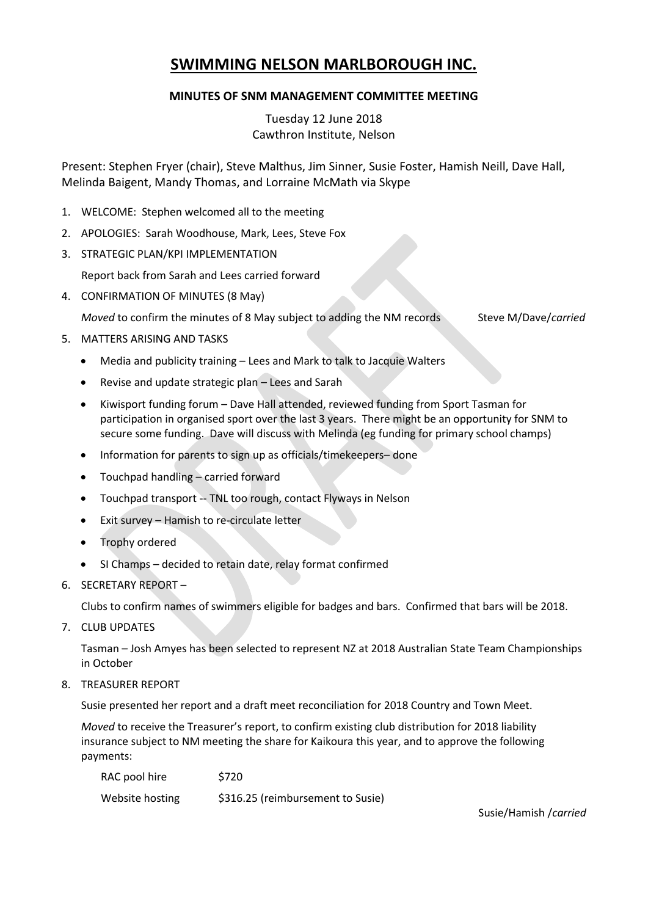# **SWIMMING NELSON MARLBOROUGH INC.**

## **MINUTES OF SNM MANAGEMENT COMMITTEE MEETING**

Tuesday 12 June 2018 Cawthron Institute, Nelson

Present: Stephen Fryer (chair), Steve Malthus, Jim Sinner, Susie Foster, Hamish Neill, Dave Hall, Melinda Baigent, Mandy Thomas, and Lorraine McMath via Skype

- 1. WELCOME: Stephen welcomed all to the meeting
- 2. APOLOGIES: Sarah Woodhouse, Mark, Lees, Steve Fox
- 3. STRATEGIC PLAN/KPI IMPLEMENTATION

Report back from Sarah and Lees carried forward

4. CONFIRMATION OF MINUTES (8 May)

*Moved* to confirm the minutes of 8 May subject to adding the NM records Steve M/Dave/*carried* 

- 5. MATTERS ARISING AND TASKS
	- Media and publicity training Lees and Mark to talk to Jacquie Walters
	- Revise and update strategic plan Lees and Sarah
	- Kiwisport funding forum Dave Hall attended, reviewed funding from Sport Tasman for participation in organised sport over the last 3 years. There might be an opportunity for SNM to secure some funding. Dave will discuss with Melinda (eg funding for primary school champs)
	- Information for parents to sign up as officials/timekeepers– done
	- Touchpad handling carried forward
	- Touchpad transport -- TNL too rough, contact Flyways in Nelson
	- Exit survey Hamish to re-circulate letter
	- Trophy ordered
	- SI Champs decided to retain date, relay format confirmed
- 6. SECRETARY REPORT –

Clubs to confirm names of swimmers eligible for badges and bars. Confirmed that bars will be 2018.

7. CLUB UPDATES

Tasman – Josh Amyes has been selected to represent NZ at 2018 Australian State Team Championships in October

8. TREASURER REPORT

Susie presented her report and a draft meet reconciliation for 2018 Country and Town Meet.

*Moved* to receive the Treasurer's report, to confirm existing club distribution for 2018 liability insurance subject to NM meeting the share for Kaikoura this year, and to approve the following payments:

| RAC pool hire   | \$720                             |
|-----------------|-----------------------------------|
| Website hosting | \$316.25 (reimbursement to Susie) |

Susie/Hamish /*carried*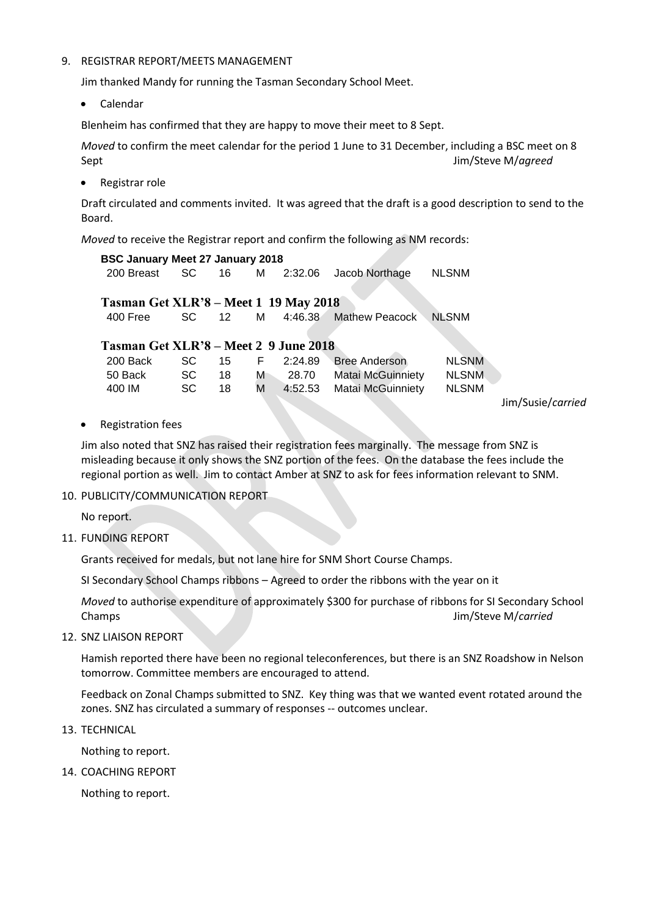#### 9. REGISTRAR REPORT/MEETS MANAGEMENT

Jim thanked Mandy for running the Tasman Secondary School Meet.

Calendar

Blenheim has confirmed that they are happy to move their meet to 8 Sept.

*Moved* to confirm the meet calendar for the period 1 June to 31 December, including a BSC meet on 8 Sept Jim/Steve M/*agreed*

Registrar role

Draft circulated and comments invited. It was agreed that the draft is a good description to send to the Board.

*Moved* to receive the Registrar report and confirm the following as NM records:

| <b>BSC January Meet 27 January 2018</b>      |           |                  |    |         |                          |              |                   |
|----------------------------------------------|-----------|------------------|----|---------|--------------------------|--------------|-------------------|
| 200 Breast                                   | SC.       | 16 -             | M  | 2:32.06 | Jacob Northage           | <b>NLSNM</b> |                   |
| <b>Tasman Get XLR'8 – Meet 1 19 May 2018</b> |           |                  |    |         |                          |              |                   |
| 400 Free                                     | SC.       | 12 <sup>12</sup> | М  | 4:46.38 | Mathew Peacock           | <b>NLSNM</b> |                   |
| Tasman Get XLR'8 – Meet 2 9 June 2018        |           |                  |    |         |                          |              |                   |
| 200 Back                                     | SC.       | 15               | F. | 2:24.89 | <b>Bree Anderson</b>     | <b>NLSNM</b> |                   |
| 50 Back                                      | <b>SC</b> | 18               | м  | 28.70   | Matai McGuinniety        | <b>NLSNM</b> |                   |
| 400 IM                                       | <b>SC</b> | 18               | М  | 4:52.53 | <b>Matai McGuinniety</b> | <b>NLSNM</b> |                   |
|                                              |           |                  |    |         |                          |              | Jim/Susie/carried |
|                                              |           |                  |    |         |                          |              |                   |

• Registration fees

Jim also noted that SNZ has raised their registration fees marginally. The message from SNZ is misleading because it only shows the SNZ portion of the fees. On the database the fees include the regional portion as well. Jim to contact Amber at SNZ to ask for fees information relevant to SNM.

#### 10. PUBLICITY/COMMUNICATION REPORT

No report.

11. FUNDING REPORT

Grants received for medals, but not lane hire for SNM Short Course Champs.

SI Secondary School Champs ribbons – Agreed to order the ribbons with the year on it

*Moved* to authorise expenditure of approximately \$300 for purchase of ribbons for SI Secondary School Champs Jim/Steve M/*carried*

12. SNZ LIAISON REPORT

Hamish reported there have been no regional teleconferences, but there is an SNZ Roadshow in Nelson tomorrow. Committee members are encouraged to attend.

Feedback on Zonal Champs submitted to SNZ. Key thing was that we wanted event rotated around the zones. SNZ has circulated a summary of responses -- outcomes unclear.

13. TECHNICAL

Nothing to report.

14. COACHING REPORT

Nothing to report.